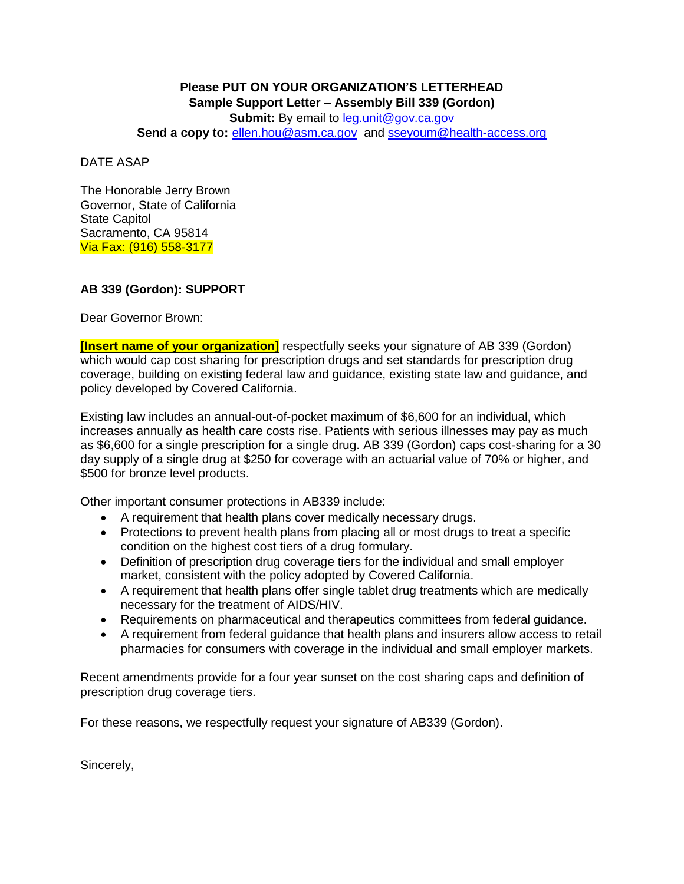## **Please PUT ON YOUR ORGANIZATION'S LETTERHEAD Sample Support Letter – Assembly Bill 339 (Gordon) Submit:** By email to [leg.unit@gov.ca.gov](mailto:leg.unit@gov.ca.gov)

**Send a copy to:** [ellen.hou@asm.ca.gov](mailto:ellen.hou@asm.ca.gov) and [sseyoum@health-access.org](mailto:sseyoum@health-access.org)

DATE ASAP

The Honorable Jerry Brown Governor, State of California State Capitol Sacramento, CA 95814 Via Fax: (916) 558-3177

## **AB 339 (Gordon): SUPPORT**

Dear Governor Brown:

**[Insert name of your organization]** respectfully seeks your signature of AB 339 (Gordon) which would cap cost sharing for prescription drugs and set standards for prescription drug coverage, building on existing federal law and guidance, existing state law and guidance, and policy developed by Covered California.

Existing law includes an annual-out-of-pocket maximum of \$6,600 for an individual, which increases annually as health care costs rise. Patients with serious illnesses may pay as much as \$6,600 for a single prescription for a single drug. AB 339 (Gordon) caps cost-sharing for a 30 day supply of a single drug at \$250 for coverage with an actuarial value of 70% or higher, and \$500 for bronze level products.

Other important consumer protections in AB339 include:

- A requirement that health plans cover medically necessary drugs.
- Protections to prevent health plans from placing all or most drugs to treat a specific condition on the highest cost tiers of a drug formulary.
- Definition of prescription drug coverage tiers for the individual and small employer market, consistent with the policy adopted by Covered California.
- A requirement that health plans offer single tablet drug treatments which are medically necessary for the treatment of AIDS/HIV.
- Requirements on pharmaceutical and therapeutics committees from federal guidance.
- A requirement from federal guidance that health plans and insurers allow access to retail pharmacies for consumers with coverage in the individual and small employer markets.

Recent amendments provide for a four year sunset on the cost sharing caps and definition of prescription drug coverage tiers.

For these reasons, we respectfully request your signature of AB339 (Gordon).

Sincerely,